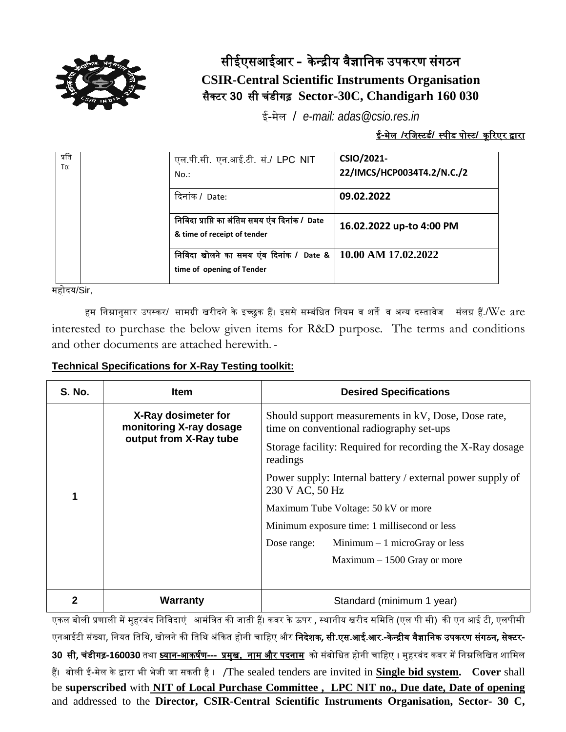

# सीईएसआईआर - केन्द्रीय वैज्ञानिक उपकरण संगठन **CSIR-Central Scientific Instruments Organisation** सैक्टर **30** सी चंडीगढ़ **Sector-30C, Chandigarh 160 030**

ई-मेल / *e-mail: adas@csio.res.in*

## ई**-**मेल **/**रिजस्टडर्**/** स्पीड पोस्ट**/** कू �रएर �ारा

| प्रति<br>To: | एल.पी.सी. एन.आई.टी. सं./ LPC NIT<br>$No.$ :                                                  | CSIO/2021-<br>22/IMCS/HCP0034T4.2/N.C./2 |
|--------------|----------------------------------------------------------------------------------------------|------------------------------------------|
|              | दिनांक / Date:                                                                               | 09.02.2022                               |
|              | निविदा प्राप्ति का अंतिम समय एंव दिनांक / Date<br>& time of receipt of tender                | 16.02.2022 up-to 4:00 PM                 |
|              | निविदा खोलने का समय एंव दिनांक / Date &   $10.00$ AM 17.02.2022<br>time of opening of Tender |                                          |

महोदय/Sir,

हम निम्नानुसार उपस्कर/ सामग्री खरीदने के इच्छुक हैं। इससे सम्बंधित नियम व शर्ते व अन्य दस्तावेज संलग्न हैं./We  $\ar{e}$ interested to purchase the below given items for R&D purpose. The terms and conditions and other documents are attached herewith. -

### **Technical Specifications for X-Ray Testing toolkit:**

| <b>S. No.</b> | <b>Item</b>                                                              | <b>Desired Specifications</b>                                                                   |  |  |  |  |
|---------------|--------------------------------------------------------------------------|-------------------------------------------------------------------------------------------------|--|--|--|--|
|               | X-Ray dosimeter for<br>monitoring X-ray dosage<br>output from X-Ray tube | Should support measurements in kV, Dose, Dose rate,<br>time on conventional radiography set-ups |  |  |  |  |
|               |                                                                          | Storage facility: Required for recording the X-Ray dosage<br>readings                           |  |  |  |  |
|               |                                                                          | Power supply: Internal battery / external power supply of<br>230 V AC, 50 Hz                    |  |  |  |  |
|               |                                                                          | Maximum Tube Voltage: 50 kV or more                                                             |  |  |  |  |
|               |                                                                          | Minimum exposure time: 1 millisecond or less                                                    |  |  |  |  |
|               |                                                                          | Dose range:<br>Minimum $-1$ microGray or less                                                   |  |  |  |  |
|               |                                                                          | $Maximum - 1500$ Gray or more                                                                   |  |  |  |  |
|               |                                                                          |                                                                                                 |  |  |  |  |
| 2             | <b>Warranty</b>                                                          | Standard (minimum 1 year)                                                                       |  |  |  |  |

एकल बोली प्रणाली में मुहरबंद निविदाएं आमंत्रित की जाती हैं। कवर के ऊपर , स्थानीय खरीद समिति (एल पी सी) की एन आई टी, एलपीसी एनआईटी संख्या, िनयत ितिथ, खोलने क� ितिथ अं�कत होनी चािहए और िनदेशक**,** सी**.**एस**.**आई**.**आर**.-**के न्�ीय वैज्ञािनक उपकरण संगठन**,** सेक्टर**-30** सी**,** चंडीगढ़**-160030** तथा ध्यान**-**आकषर्ण**---** �मुख**,** नाम और पदनाम को संबोिधत होनी चािहए । मुहरबंद कवर म� िन�िलिखत शािमल ह�। बोली ई-मेल के �ारा भी भेजी जा सकती है । /The sealed tenders are invited in **Single bid system. Cover** shall be **superscribed** with **NIT of Local Purchase Committee , LPC NIT no., Due date, Date of opening**  and addressed to the **Director, CSIR-Central Scientific Instruments Organisation, Sector- 30 C,**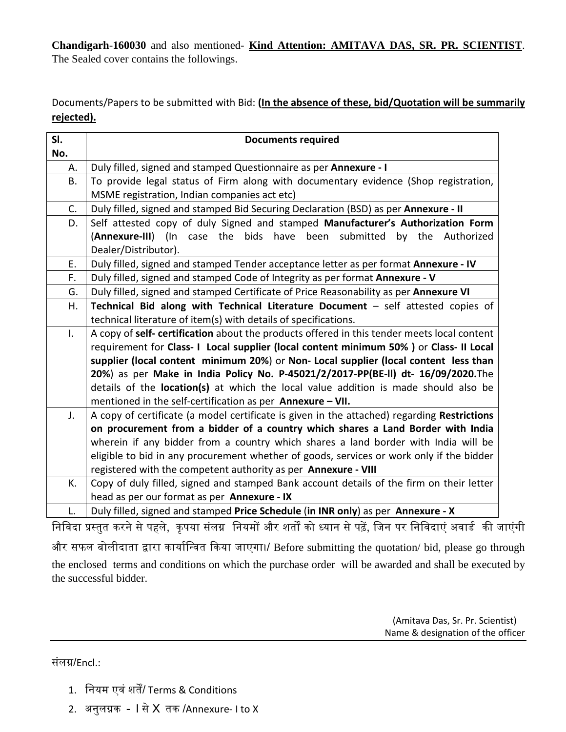**Chandigarh**-**160030** and also mentioned- **Kind Attention: AMITAVA DAS, SR. PR. SCIENTIST**. The Sealed cover contains the followings.

Documents/Papers to be submitted with Bid: **(In the absence of these, bid/Quotation will be summarily rejected).**

| SI.          | <b>Documents required</b>                                                                   |  |  |  |  |  |  |  |
|--------------|---------------------------------------------------------------------------------------------|--|--|--|--|--|--|--|
| No.          |                                                                                             |  |  |  |  |  |  |  |
| А.           | Duly filled, signed and stamped Questionnaire as per Annexure - I                           |  |  |  |  |  |  |  |
| <b>B.</b>    | To provide legal status of Firm along with documentary evidence (Shop registration,         |  |  |  |  |  |  |  |
|              | MSME registration, Indian companies act etc)                                                |  |  |  |  |  |  |  |
| C.           | Duly filled, signed and stamped Bid Securing Declaration (BSD) as per Annexure - II         |  |  |  |  |  |  |  |
| D.           | Self attested copy of duly Signed and stamped Manufacturer's Authorization Form             |  |  |  |  |  |  |  |
|              | (Annexure-III) (In case the bids have been<br>submitted<br>by the Authorized                |  |  |  |  |  |  |  |
|              | Dealer/Distributor).                                                                        |  |  |  |  |  |  |  |
| Ε.           | Duly filled, signed and stamped Tender acceptance letter as per format Annexure - IV        |  |  |  |  |  |  |  |
| F.           | Duly filled, signed and stamped Code of Integrity as per format Annexure - V                |  |  |  |  |  |  |  |
| G.           | Duly filled, signed and stamped Certificate of Price Reasonability as per Annexure VI       |  |  |  |  |  |  |  |
| Η.           | Technical Bid along with Technical Literature Document - self attested copies of            |  |  |  |  |  |  |  |
|              | technical literature of item(s) with details of specifications.                             |  |  |  |  |  |  |  |
| $\mathsf{L}$ | A copy of self- certification about the products offered in this tender meets local content |  |  |  |  |  |  |  |
|              | requirement for Class- I Local supplier (local content minimum 50%) or Class- II Local      |  |  |  |  |  |  |  |
|              | supplier (local content minimum 20%) or Non-Local supplier (local content less than         |  |  |  |  |  |  |  |
|              | 20%) as per Make in India Policy No. P-45021/2/2017-PP(BE-II) dt- 16/09/2020. The           |  |  |  |  |  |  |  |
|              | details of the <b>location(s)</b> at which the local value addition is made should also be  |  |  |  |  |  |  |  |
|              | mentioned in the self-certification as per Annexure $-$ VII.                                |  |  |  |  |  |  |  |
| J.           | A copy of certificate (a model certificate is given in the attached) regarding Restrictions |  |  |  |  |  |  |  |
|              | on procurement from a bidder of a country which shares a Land Border with India             |  |  |  |  |  |  |  |
|              | wherein if any bidder from a country which shares a land border with India will be          |  |  |  |  |  |  |  |
|              | eligible to bid in any procurement whether of goods, services or work only if the bidder    |  |  |  |  |  |  |  |
|              | registered with the competent authority as per Annexure - VIII                              |  |  |  |  |  |  |  |
| К.           | Copy of duly filled, signed and stamped Bank account details of the firm on their letter    |  |  |  |  |  |  |  |
|              | head as per our format as per Annexure - IX                                                 |  |  |  |  |  |  |  |
| L.           | Duly filled, signed and stamped Price Schedule (in INR only) as per Annexure - X            |  |  |  |  |  |  |  |

निविदा प्रस्तुत करने से पहले, कृपया संलग्न नियमों और शर्तों को ध्यान से पढ़ें, जिन पर निविदाएं अवार्ड की जाएंगी

और सफल बोलीदाता �ारा कायार्िन्वत �कया जाएगा।/ Before submitting the quotation/ bid, please go through the enclosed terms and conditions on which the purchase order will be awarded and shall be executed by the successful bidder.

> (Amitava Das, Sr. Pr. Scientist) Name & designation of the officer

संलग्न $/$ Fncl.:

- 1. नियम एवं शर्तें/ Terms & Conditions
- 2. अनुल�क I से X तक /Annexure- I to X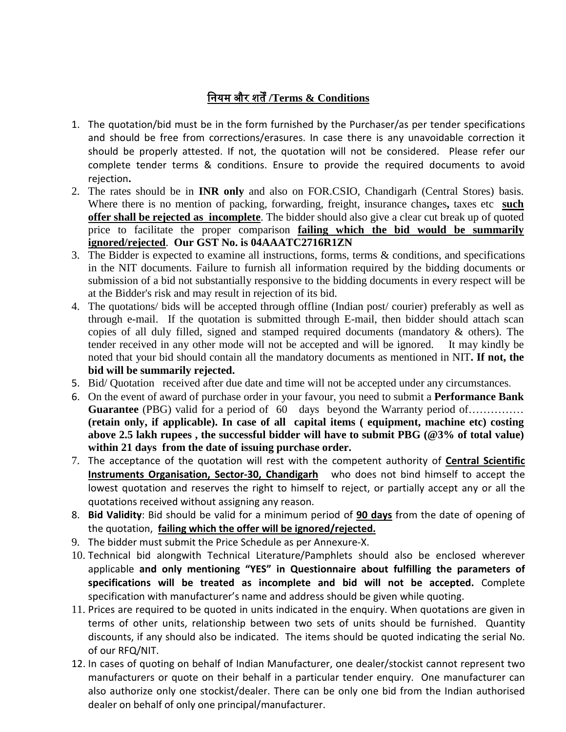# िनयम और शत�**/Terms & Conditions**

- 1. The quotation/bid must be in the form furnished by the Purchaser/as per tender specifications and should be free from corrections/erasures. In case there is any unavoidable correction it should be properly attested. If not, the quotation will not be considered. Please refer our complete tender terms & conditions. Ensure to provide the required documents to avoid rejection**.**
- 2. The rates should be in **INR only** and also on FOR.CSIO, Chandigarh (Central Stores) basis. Where there is no mention of packing, forwarding, freight, insurance changes, taxes etc **such offer shall be rejected as incomplete**. The bidder should also give a clear cut break up of quoted price to facilitate the proper comparison **failing which the bid would be summarily ignored/rejected**. **Our GST No. is 04AAATC2716R1ZN**
- 3. The Bidder is expected to examine all instructions, forms, terms  $\&$  conditions, and specifications in the NIT documents. Failure to furnish all information required by the bidding documents or submission of a bid not substantially responsive to the bidding documents in every respect will be at the Bidder's risk and may result in rejection of its bid.
- 4. The quotations/ bids will be accepted through offline (Indian post/ courier) preferably as well as through e-mail. If the quotation is submitted through E-mail, then bidder should attach scan copies of all duly filled, signed and stamped required documents (mandatory & others). The tender received in any other mode will not be accepted and will be ignored. It may kindly be noted that your bid should contain all the mandatory documents as mentioned in NIT**. If not, the bid will be summarily rejected.**
- 5. Bid/ Quotation received after due date and time will not be accepted under any circumstances.
- 6. On the event of award of purchase order in your favour, you need to submit a **Performance Bank Guarantee** (PBG) valid for a period of 60 days beyond the Warranty period of............... **(retain only, if applicable). In case of all capital items ( equipment, machine etc) costing above 2.5 lakh rupees , the successful bidder will have to submit PBG (@3% of total value) within 21 days from the date of issuing purchase order.**
- 7. The acceptance of the quotation will rest with the competent authority of **Central Scientific Instruments Organisation, Sector-30, Chandigarh** who does not bind himself to accept the lowest quotation and reserves the right to himself to reject, or partially accept any or all the quotations received without assigning any reason.
- 8. **Bid Validity**: Bid should be valid for a minimum period of **90 days** from the date of opening of the quotation, **failing which the offer will be ignored/rejected.**
- 9. The bidder must submit the Price Schedule as per Annexure-X.
- 10. Technical bid alongwith Technical Literature/Pamphlets should also be enclosed wherever applicable **and only mentioning "YES" in Questionnaire about fulfilling the parameters of specifications will be treated as incomplete and bid will not be accepted.** Complete specification with manufacturer's name and address should be given while quoting.
- 11. Prices are required to be quoted in units indicated in the enquiry. When quotations are given in terms of other units, relationship between two sets of units should be furnished. Quantity discounts, if any should also be indicated. The items should be quoted indicating the serial No. of our RFQ/NIT.
- 12. In cases of quoting on behalf of Indian Manufacturer, one dealer/stockist cannot represent two manufacturers or quote on their behalf in a particular tender enquiry. One manufacturer can also authorize only one stockist/dealer. There can be only one bid from the Indian authorised dealer on behalf of only one principal/manufacturer.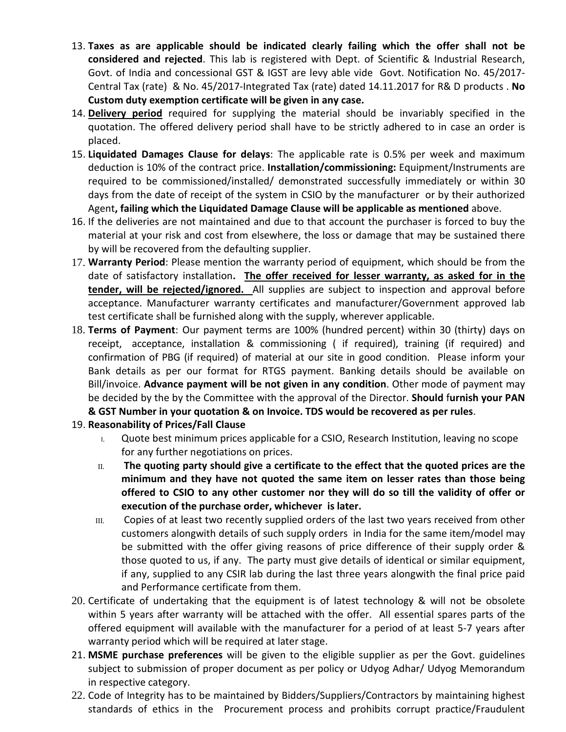- 13. **Taxes as are applicable should be indicated clearly failing which the offer shall not be considered and rejected**. This lab is registered with Dept. of Scientific & Industrial Research, Govt. of India and concessional GST & IGST are levy able vide Govt. Notification No. 45/2017- Central Tax (rate) & No. 45/2017-Integrated Tax (rate) dated 14.11.2017 for R& D products . **No Custom duty exemption certificate will be given in any case.**
- 14. **Delivery period** required for supplying the material should be invariably specified in the quotation. The offered delivery period shall have to be strictly adhered to in case an order is placed.
- 15. **Liquidated Damages Clause for delays**: The applicable rate is 0.5% per week and maximum deduction is 10% of the contract price. **Installation/commissioning:** Equipment/Instruments are required to be commissioned/installed/ demonstrated successfully immediately or within 30 days from the date of receipt of the system in CSIO by the manufacturer or by their authorized Agent**, failing which the Liquidated Damage Clause will be applicable as mentioned** above.
- 16. If the deliveries are not maintained and due to that account the purchaser is forced to buy the material at your risk and cost from elsewhere, the loss or damage that may be sustained there by will be recovered from the defaulting supplier.
- 17. **Warranty Period**: Please mention the warranty period of equipment, which should be from the date of satisfactory installation**. The offer received for lesser warranty, as asked for in the tender, will be rejected/ignored.** All supplies are subject to inspection and approval before acceptance. Manufacturer warranty certificates and manufacturer/Government approved lab test certificate shall be furnished along with the supply, wherever applicable.
- 18. **Terms of Payment**: Our payment terms are 100% (hundred percent) within 30 (thirty) days on receipt, acceptance, installation & commissioning ( if required), training (if required) and confirmation of PBG (if required) of material at our site in good condition. Please inform your Bank details as per our format for RTGS payment. Banking details should be available on Bill/invoice. **Advance payment will be not given in any condition**. Other mode of payment may be decided by the by the Committee with the approval of the Director. **Should** f**urnish your PAN & GST Number in your quotation & on Invoice. TDS would be recovered as per rules**.
- 19. **Reasonability of Prices/Fall Clause** 
	- I. Quote best minimum prices applicable for a CSIO, Research Institution, leaving no scope for any further negotiations on prices.
	- II. **The quoting party should give a certificate to the effect that the quoted prices are the minimum and they have not quoted the same item on lesser rates than those being offered to CSIO to any other customer nor they will do so till the validity of offer or execution of the purchase order, whichever is later.**
	- III. Copies of at least two recently supplied orders of the last two years received from other customers alongwith details of such supply orders in India for the same item/model may be submitted with the offer giving reasons of price difference of their supply order & those quoted to us, if any. The party must give details of identical or similar equipment, if any, supplied to any CSIR lab during the last three years alongwith the final price paid and Performance certificate from them.
- 20. Certificate of undertaking that the equipment is of latest technology & will not be obsolete within 5 years after warranty will be attached with the offer. All essential spares parts of the offered equipment will available with the manufacturer for a period of at least 5-7 years after warranty period which will be required at later stage.
- 21. **MSME purchase preferences** will be given to the eligible supplier as per the Govt. guidelines subject to submission of proper document as per policy or Udyog Adhar/ Udyog Memorandum in respective category.
- 22. Code of Integrity has to be maintained by Bidders/Suppliers/Contractors by maintaining highest standards of ethics in the Procurement process and prohibits corrupt practice/Fraudulent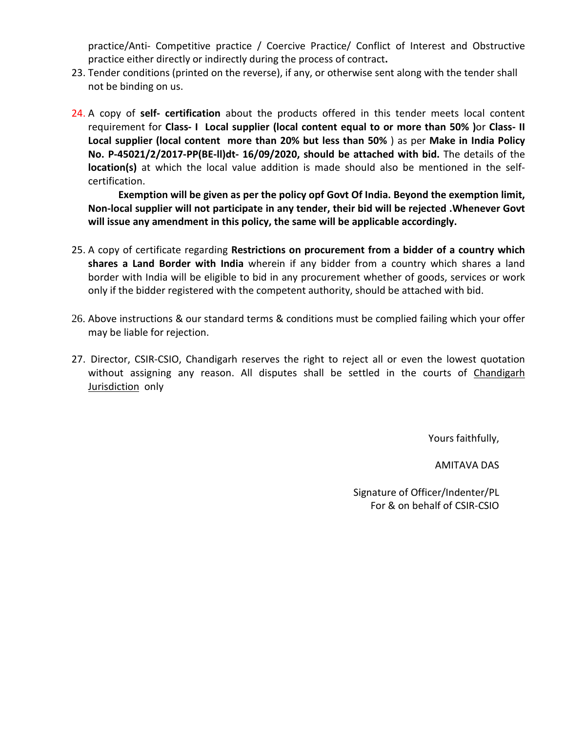practice/Anti- Competitive practice / Coercive Practice/ Conflict of Interest and Obstructive practice either directly or indirectly during the process of contract**.**

- 23. Tender conditions (printed on the reverse), if any, or otherwise sent along with the tender shall not be binding on us.
- 24. A copy of **self- certification** about the products offered in this tender meets local content requirement for **Class- I Local supplier (local content equal to or more than 50% )**or **Class- II Local supplier (local content more than 20% but less than 50%** ) as per **Make in India Policy No. P-45021/2/2017-PP(BE-ll)dt- 16/09/2020, should be attached with bid.** The details of the **location(s)** at which the local value addition is made should also be mentioned in the selfcertification.

**Exemption will be given as per the policy opf Govt Of India. Beyond the exemption limit, Non-local supplier will not participate in any tender, their bid will be rejected .Whenever Govt will issue any amendment in this policy, the same will be applicable accordingly.**

- 25. A copy of certificate regarding **Restrictions on procurement from a bidder of a country which shares a Land Border with India** wherein if any bidder from a country which shares a land border with India will be eligible to bid in any procurement whether of goods, services or work only if the bidder registered with the competent authority, should be attached with bid.
- 26. Above instructions & our standard terms & conditions must be complied failing which your offer may be liable for rejection.
- 27. Director, CSIR-CSIO, Chandigarh reserves the right to reject all or even the lowest quotation without assigning any reason. All disputes shall be settled in the courts of Chandigarh Jurisdiction only

Yours faithfully,

AMITAVA DAS

Signature of Officer/Indenter/PL For & on behalf of CSIR-CSIO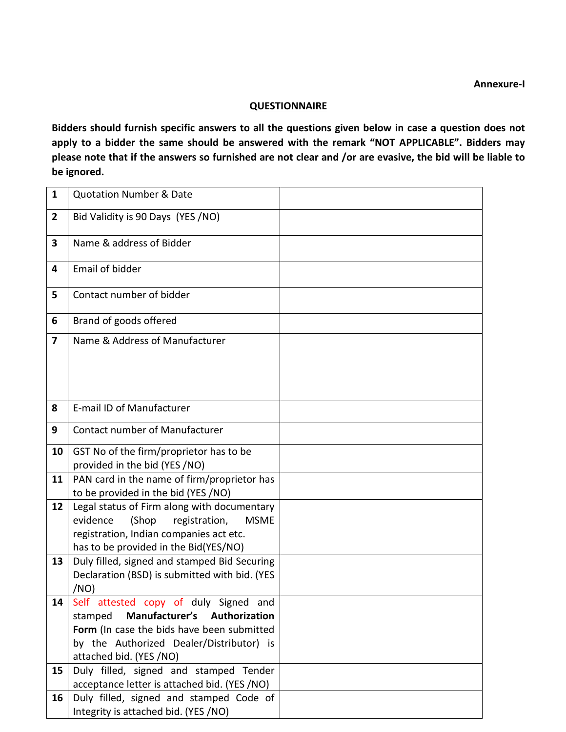**Annexure-I**

#### **QUESTIONNAIRE**

**Bidders should furnish specific answers to all the questions given below in case a question does not apply to a bidder the same should be answered with the remark "NOT APPLICABLE". Bidders may please note that if the answers so furnished are not clear and /or are evasive, the bid will be liable to be ignored.**

| $\mathbf{1}$            | <b>Quotation Number &amp; Date</b>                                                           |  |
|-------------------------|----------------------------------------------------------------------------------------------|--|
| $\overline{2}$          | Bid Validity is 90 Days (YES /NO)                                                            |  |
| 3                       | Name & address of Bidder                                                                     |  |
|                         |                                                                                              |  |
| 4                       | Email of bidder                                                                              |  |
| 5                       | Contact number of bidder                                                                     |  |
|                         |                                                                                              |  |
| 6                       | Brand of goods offered                                                                       |  |
| $\overline{\mathbf{z}}$ | Name & Address of Manufacturer                                                               |  |
|                         |                                                                                              |  |
|                         |                                                                                              |  |
|                         |                                                                                              |  |
| 8                       | E-mail ID of Manufacturer                                                                    |  |
|                         |                                                                                              |  |
| 9                       | <b>Contact number of Manufacturer</b>                                                        |  |
| 10                      | GST No of the firm/proprietor has to be                                                      |  |
|                         | provided in the bid (YES /NO)                                                                |  |
| 11                      | PAN card in the name of firm/proprietor has                                                  |  |
|                         | to be provided in the bid (YES /NO)                                                          |  |
| 12                      | Legal status of Firm along with documentary                                                  |  |
|                         | evidence<br>(Shop<br>registration,<br><b>MSME</b><br>registration, Indian companies act etc. |  |
|                         | has to be provided in the Bid(YES/NO)                                                        |  |
| 13                      | Duly filled, signed and stamped Bid Securing                                                 |  |
|                         | Declaration (BSD) is submitted with bid. (YES                                                |  |
|                         | /NO)                                                                                         |  |
| 14                      | Self attested copy of duly Signed and                                                        |  |
|                         | Manufacturer's Authorization<br>stamped                                                      |  |
|                         | Form (In case the bids have been submitted                                                   |  |
|                         | by the Authorized Dealer/Distributor) is                                                     |  |
|                         | attached bid. (YES /NO)                                                                      |  |
| 15                      | Duly filled, signed and stamped Tender                                                       |  |
| 16                      | acceptance letter is attached bid. (YES/NO)<br>Duly filled, signed and stamped Code of       |  |
|                         | Integrity is attached bid. (YES /NO)                                                         |  |
|                         |                                                                                              |  |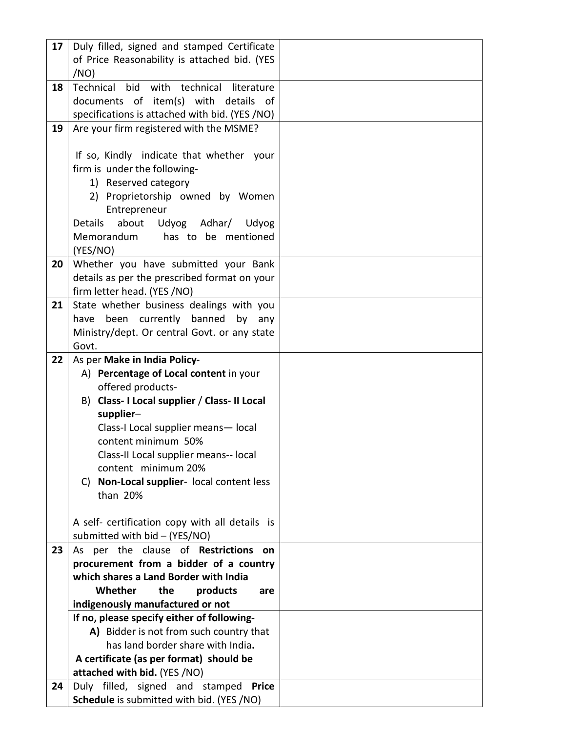| 17 | Duly filled, signed and stamped Certificate    |  |
|----|------------------------------------------------|--|
|    | of Price Reasonability is attached bid. (YES   |  |
|    | /NO)                                           |  |
| 18 | Technical bid with technical literature        |  |
|    | documents of item(s) with details of           |  |
|    |                                                |  |
|    | specifications is attached with bid. (YES /NO) |  |
| 19 | Are your firm registered with the MSME?        |  |
|    |                                                |  |
|    | If so, Kindly indicate that whether your       |  |
|    | firm is under the following-                   |  |
|    | 1) Reserved category                           |  |
|    | 2) Proprietorship owned by Women               |  |
|    |                                                |  |
|    | Entrepreneur                                   |  |
|    | about Udyog Adhar/ Udyog<br>Details            |  |
|    | Memorandum<br>has to be mentioned              |  |
|    | (YES/NO)                                       |  |
| 20 | Whether you have submitted your Bank           |  |
|    | details as per the prescribed format on your   |  |
|    | firm letter head. (YES /NO)                    |  |
| 21 | State whether business dealings with you       |  |
|    |                                                |  |
|    | been currently banned<br>by any<br>have        |  |
|    | Ministry/dept. Or central Govt. or any state   |  |
|    | Govt.                                          |  |
| 22 | As per Make in India Policy-                   |  |
|    | A) Percentage of Local content in your         |  |
|    | offered products-                              |  |
|    | B) Class-I Local supplier / Class-II Local     |  |
|    | supplier-                                      |  |
|    | Class-I Local supplier means-local             |  |
|    |                                                |  |
|    | content minimum 50%                            |  |
|    | Class-II Local supplier means-- local          |  |
|    | content minimum 20%                            |  |
|    | C) Non-Local supplier- local content less      |  |
|    | than 20%                                       |  |
|    |                                                |  |
|    | A self- certification copy with all details is |  |
|    | submitted with $bid - (YES/NO)$                |  |
| 23 | As per the clause of Restrictions on           |  |
|    | procurement from a bidder of a country         |  |
|    | which shares a Land Border with India          |  |
|    |                                                |  |
|    | Whether<br>the<br>products<br>are              |  |
|    | indigenously manufactured or not               |  |
|    | If no, please specify either of following-     |  |
|    | A) Bidder is not from such country that        |  |
|    | has land border share with India.              |  |
|    | A certificate (as per format) should be        |  |
|    | attached with bid. (YES /NO)                   |  |
| 24 | Duly filled, signed and stamped Price          |  |
|    |                                                |  |
|    | Schedule is submitted with bid. (YES /NO)      |  |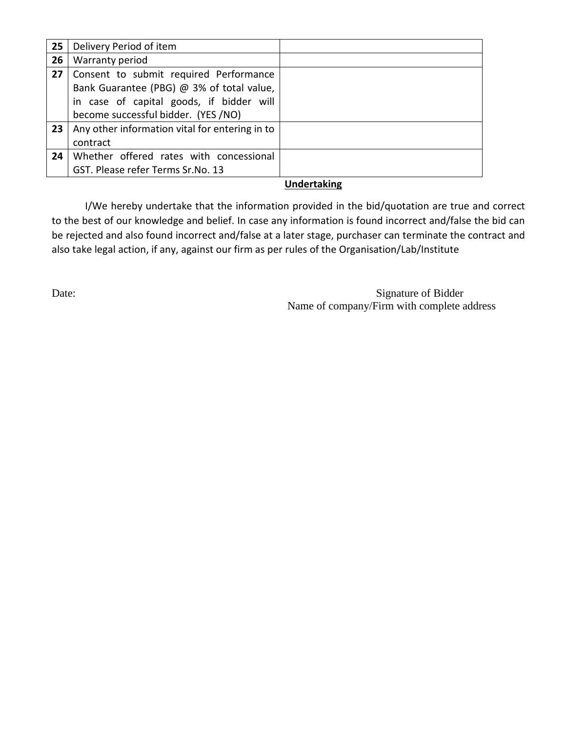| 25 | Delivery Period of item                        |  |
|----|------------------------------------------------|--|
| 26 | Warranty period                                |  |
| 27 | Consent to submit required Performance         |  |
|    | Bank Guarantee (PBG) @ 3% of total value,      |  |
|    | in case of capital goods, if bidder will       |  |
|    | become successful bidder. (YES /NO)            |  |
| 23 | Any other information vital for entering in to |  |
|    | contract                                       |  |
| 24 | Whether offered rates with concessional        |  |
|    | GST. Please refer Terms Sr.No. 13              |  |

#### **Undertaking**

I/We hereby undertake that the information provided in the bid/quotation are true and correct to the best of our knowledge and belief. In case any information is found incorrect and/false the bid can be rejected and also found incorrect and/false at a later stage, purchaser can terminate the contract and also take legal action, if any, against our firm as per rules of the Organisation/Lab/Institute

Date: Signature of Bidder Name of company/Firm with complete address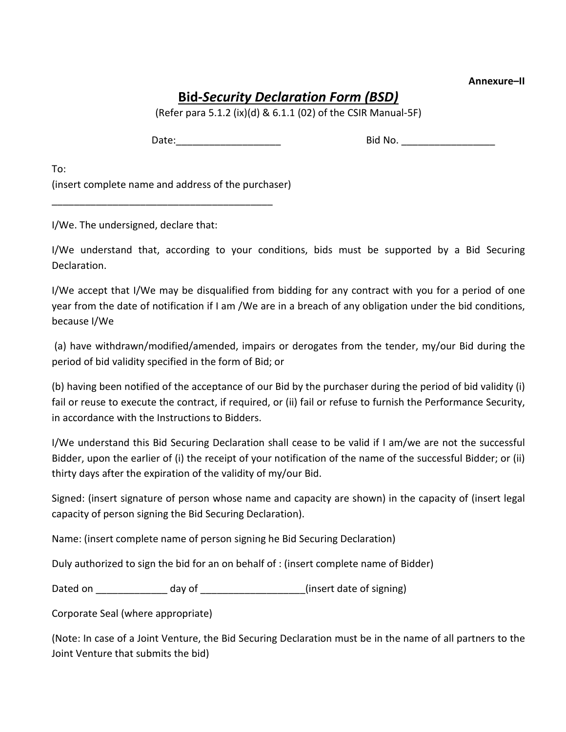#### **Annexure–II**

# **Bid***-Security Declaration Form (BSD)*

(Refer para 5.1.2 (ix)(d) & 6.1.1 (02) of the CSIR Manual-5F)

Date:\_\_\_\_\_\_\_\_\_\_\_\_\_\_\_\_\_\_\_ Bid No. \_\_\_\_\_\_\_\_\_\_\_\_\_\_\_\_\_

To:

(insert complete name and address of the purchaser)

\_\_\_\_\_\_\_\_\_\_\_\_\_\_\_\_\_\_\_\_\_\_\_\_\_\_\_\_\_\_\_\_\_\_\_\_\_\_\_\_

I/We. The undersigned, declare that:

I/We understand that, according to your conditions, bids must be supported by a Bid Securing Declaration.

I/We accept that I/We may be disqualified from bidding for any contract with you for a period of one year from the date of notification if I am /We are in a breach of any obligation under the bid conditions, because I/We

(a) have withdrawn/modified/amended, impairs or derogates from the tender, my/our Bid during the period of bid validity specified in the form of Bid; or

(b) having been notified of the acceptance of our Bid by the purchaser during the period of bid validity (i) fail or reuse to execute the contract, if required, or (ii) fail or refuse to furnish the Performance Security, in accordance with the Instructions to Bidders.

I/We understand this Bid Securing Declaration shall cease to be valid if I am/we are not the successful Bidder, upon the earlier of (i) the receipt of your notification of the name of the successful Bidder; or (ii) thirty days after the expiration of the validity of my/our Bid.

Signed: (insert signature of person whose name and capacity are shown) in the capacity of (insert legal capacity of person signing the Bid Securing Declaration).

Name: (insert complete name of person signing he Bid Securing Declaration)

Duly authorized to sign the bid for an on behalf of : (insert complete name of Bidder)

Dated on \_\_\_\_\_\_\_\_\_\_\_\_\_\_\_\_ day of \_\_\_\_\_\_\_\_\_\_\_\_\_\_\_\_\_\_\_\_\_(insert date of signing)

Corporate Seal (where appropriate)

(Note: In case of a Joint Venture, the Bid Securing Declaration must be in the name of all partners to the Joint Venture that submits the bid)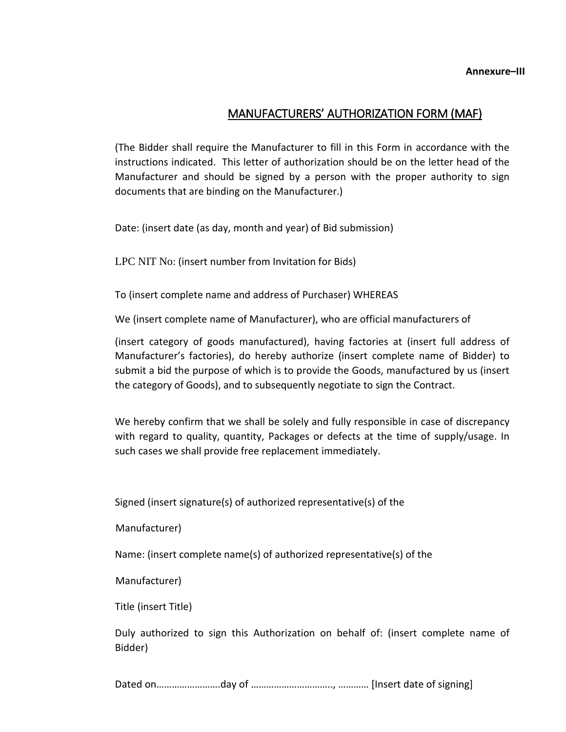## MANUFACTURERS' AUTHORIZATION FORM (MAF)

(The Bidder shall require the Manufacturer to fill in this Form in accordance with the instructions indicated. This letter of authorization should be on the letter head of the Manufacturer and should be signed by a person with the proper authority to sign documents that are binding on the Manufacturer.)

Date: (insert date (as day, month and year) of Bid submission)

LPC NIT No: (insert number from Invitation for Bids)

To (insert complete name and address of Purchaser) WHEREAS

We (insert complete name of Manufacturer), who are official manufacturers of

(insert category of goods manufactured), having factories at (insert full address of Manufacturer's factories), do hereby authorize (insert complete name of Bidder) to submit a bid the purpose of which is to provide the Goods, manufactured by us (insert the category of Goods), and to subsequently negotiate to sign the Contract.

We hereby confirm that we shall be solely and fully responsible in case of discrepancy with regard to quality, quantity, Packages or defects at the time of supply/usage. In such cases we shall provide free replacement immediately.

Signed (insert signature(s) of authorized representative(s) of the

Manufacturer)

Name: (insert complete name(s) of authorized representative(s) of the

Manufacturer)

Title (insert Title)

Duly authorized to sign this Authorization on behalf of: (insert complete name of Bidder)

Dated on………………………day of ………………………………………… [Insert date of signing]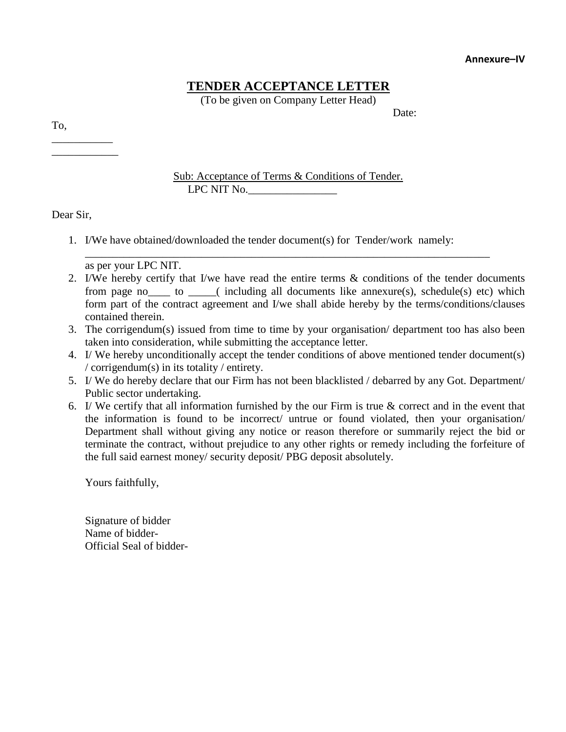**Annexure–IV**

## **TENDER ACCEPTANCE LETTER**

(To be given on Company Letter Head)

Date:

\_\_\_\_\_\_\_\_\_\_\_ \_\_\_\_\_\_\_\_\_\_\_\_

#### Sub: Acceptance of Terms & Conditions of Tender. LPC NIT No.

\_\_\_\_\_\_\_\_\_\_\_\_\_\_\_\_\_\_\_\_\_\_\_\_\_\_\_\_\_\_\_\_\_\_\_\_\_\_\_\_\_\_\_\_\_\_\_\_\_\_\_\_\_\_\_\_\_\_\_\_\_\_\_\_\_\_\_\_\_\_\_\_\_

Dear Sir,

1. I/We have obtained/downloaded the tender document(s) for Tender/work namely:

as per your LPC NIT.

- 2. I/We hereby certify that I/we have read the entire terms & conditions of the tender documents from page no  $\qquad$  to  $\qquad$  ( including all documents like annexure(s), schedule(s) etc) which form part of the contract agreement and I/we shall abide hereby by the terms/conditions/clauses contained therein.
- 3. The corrigendum(s) issued from time to time by your organisation/ department too has also been taken into consideration, while submitting the acceptance letter.
- 4. I/ We hereby unconditionally accept the tender conditions of above mentioned tender document(s) / corrigendum(s) in its totality / entirety.
- 5. I/ We do hereby declare that our Firm has not been blacklisted / debarred by any Got. Department/ Public sector undertaking.
- 6. I/ We certify that all information furnished by the our Firm is true & correct and in the event that the information is found to be incorrect/ untrue or found violated, then your organisation/ Department shall without giving any notice or reason therefore or summarily reject the bid or terminate the contract, without prejudice to any other rights or remedy including the forfeiture of the full said earnest money/ security deposit/ PBG deposit absolutely.

Yours faithfully,

Signature of bidder Name of bidder-Official Seal of bidder-

To,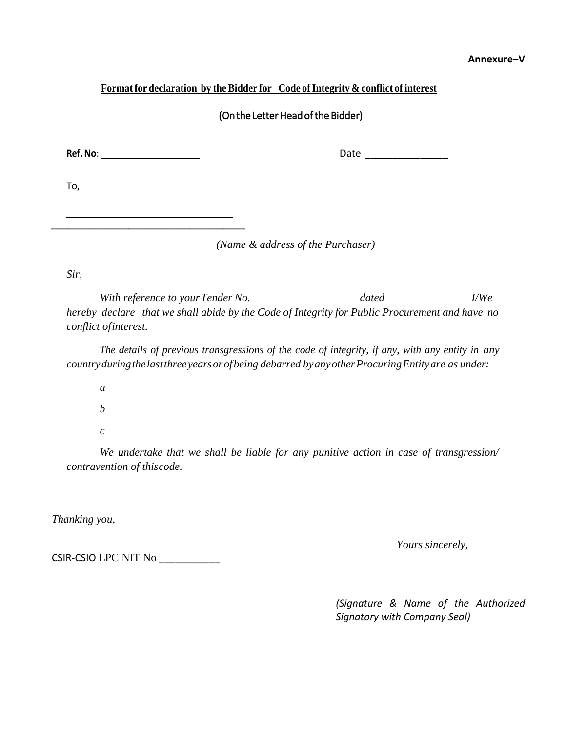#### **Annexure–V**

### **Format for declaration** by the Bidder for Code of Integrity & conflict of interest

### (On the Letter Head of the Bidder)

**Ref. No**:

*\_\_\_\_\_\_\_\_\_\_\_\_\_\_\_\_\_\_\_\_\_\_\_\_\_\_\_\_\_\_\_\_\_\_\_*

Date  $\Box$ 

To,

*(Name & address of the Purchaser)*

*Sir,*

*With reference to yourTender No. dated I/We hereby declare that we shall abide by the Code of Integrity for Public Procurement and have no conflict ofinterest.*

*The details of previous transgressions of the code of integrity, if any, with any entity in any countryduringthelastthreeyearsorofbeing debarred byanyotherProcuringEntityare as under:*

*a* 

*b* 

*c*

*We undertake that we shall be liable for any punitive action in case of transgression/ contravention of thiscode.*

*Thanking you,*

*Yours sincerely,*

CSIR-CSIO LPC NIT No \_\_\_\_\_\_\_\_\_\_\_

*(Signature & Name of the Authorized Signatory with Company Seal)*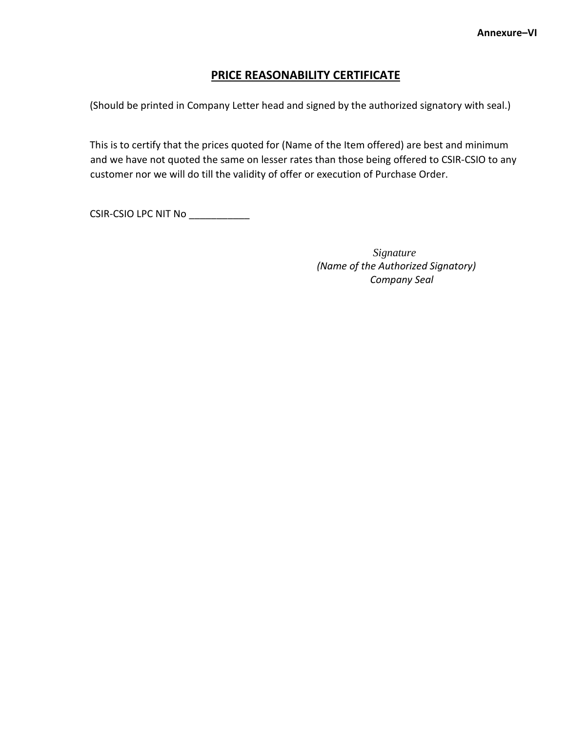### **PRICE REASONABILITY CERTIFICATE**

(Should be printed in Company Letter head and signed by the authorized signatory with seal.)

This is to certify that the prices quoted for (Name of the Item offered) are best and minimum and we have not quoted the same on lesser rates than those being offered to CSIR-CSIO to any customer nor we will do till the validity of offer or execution of Purchase Order.

CSIR-CSIO LPC NIT No \_\_\_\_\_\_\_\_\_\_\_

*Signature (Name of the Authorized Signatory) Company Seal*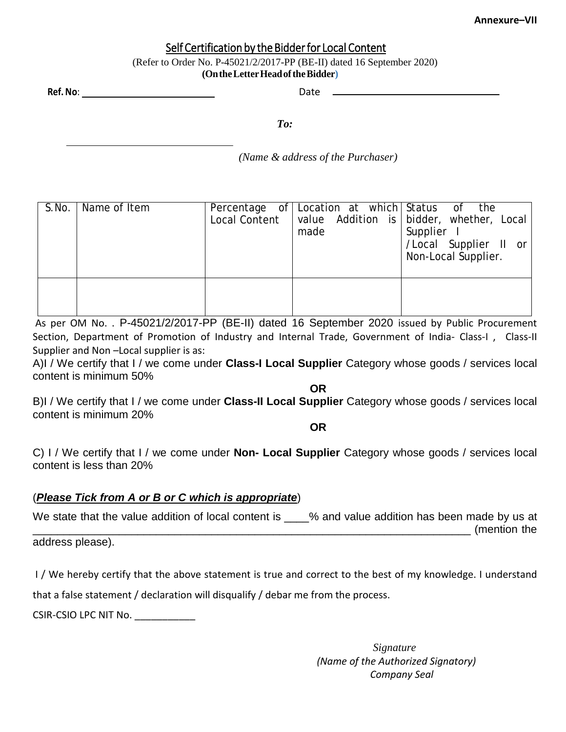## Self Certification by the Bidder for Local Content

(Refer to Order No. P-45021/2/2017-PP (BE-II) dated 16 September 2020)

#### **(OntheLetterHeadoftheBidder)**

Ref. No: **Date** and Date and Date and Date and Date and Date and Date and Date and Date and Date and Date and Date and Date and Date and Date and Date and Date and Date and Date and Date and Date and Date and Date and Date

*To:*

*(Name & address of the Purchaser)*

| S.No. | Name of Item | Local Content | Percentage of Location at which Status of the<br>made | value Addition is bidder, whether, Local<br>Supplier<br>/Local Supplier II or<br>Non-Local Supplier. |
|-------|--------------|---------------|-------------------------------------------------------|------------------------------------------------------------------------------------------------------|
|       |              |               |                                                       |                                                                                                      |

As per OM No. . P-45021/2/2017-PP (BE-II) dated 16 September 2020 issued by Public Procurement Section, Department of Promotion of Industry and Internal Trade, Government of India- Class-I , Class-II Supplier and Non –Local supplier is as:

A)I / We certify that I / we come under **Class-I Local Supplier** Category whose goods / services local content is minimum 50%

**OR**

B)I / We certify that I / we come under **Class-II Local Supplier** Category whose goods / services local content is minimum 20%

**OR**

C) I / We certify that I / we come under **Non- Local Supplier** Category whose goods / services local content is less than 20%

## (*Please Tick from A or B or C which is appropriate*)

| We state that the value addition of local content is | % and value addition has been made by us at |
|------------------------------------------------------|---------------------------------------------|
|                                                      | (mention the                                |

address please).

I / We hereby certify that the above statement is true and correct to the best of my knowledge. I understand that a false statement / declaration will disqualify / debar me from the process.

CSIR-CSIO LPC NIT No. \_\_\_\_\_\_\_\_\_\_\_

*Signature (Name of the Authorized Signatory) Company Seal*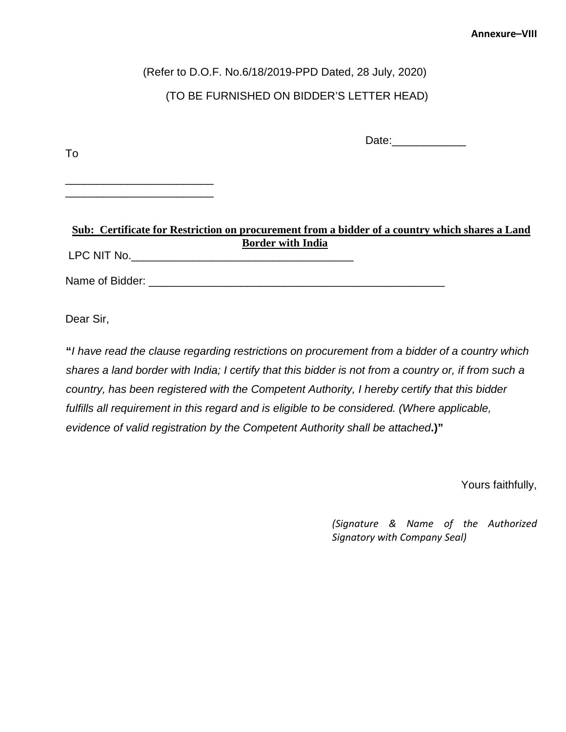#### **Annexure–VIII**

#### (Refer to D.O.F. No.6/18/2019-PPD Dated, 28 July, 2020)

## (TO BE FURNISHED ON BIDDER'S LETTER HEAD)

To

\_\_\_\_\_\_\_\_\_\_\_\_\_\_\_\_\_\_\_\_\_\_\_\_ \_\_\_\_\_\_\_\_\_\_\_\_\_\_\_\_\_\_\_\_\_\_\_\_ Date:\_\_\_\_\_\_\_\_\_\_\_\_

### **Sub: Certificate for Restriction on procurement from a bidder of a country which shares a Land Border with India** LPC NIT No.\_\_\_\_\_\_\_\_\_\_\_\_\_\_\_\_\_\_\_\_\_\_\_\_\_\_\_\_\_\_\_\_\_\_\_\_

Name of Bidder: \_\_\_\_\_\_\_\_\_\_\_\_\_\_\_\_\_\_\_\_\_\_\_\_\_\_\_\_\_\_\_\_\_\_\_\_\_\_\_\_\_\_\_\_\_\_\_\_

Dear Sir,

**"***I have read the clause regarding restrictions on procurement from a bidder of a country which shares a land border with India; I certify that this bidder is not from a country or, if from such a country, has been registered with the Competent Authority, I hereby certify that this bidder*  fulfills all requirement in this regard and is eligible to be considered. (Where applicable, *evidence of valid registration by the Competent Authority shall be attached***.)"**

Yours faithfully,

*(Signature & Name of the Authorized Signatory with Company Seal)*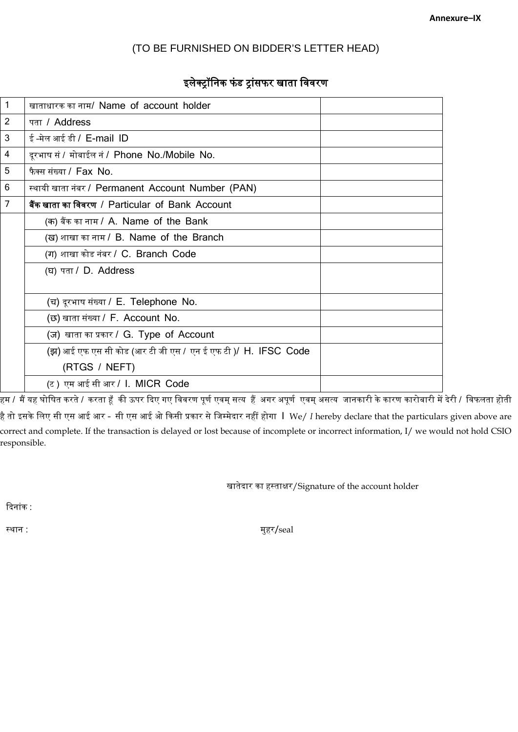### (TO BE FURNISHED ON BIDDER'S LETTER HEAD)

# इलेक्ट्रॉनिक फंड ट्रांसफर खाता विवरण

| खाताधारक का नाम/ Name of account holder                       |  |  |  |  |  |
|---------------------------------------------------------------|--|--|--|--|--|
| पता / Address                                                 |  |  |  |  |  |
| ई -मेल आई डी / $E$ -mail ID                                   |  |  |  |  |  |
| दूरभाष सं / मोबाईल नं / Phone No./Mobile No.                  |  |  |  |  |  |
| फैक्स संख्या / Fax No.                                        |  |  |  |  |  |
| स्थायी खाता नंबर / Permanent Account Number (PAN)             |  |  |  |  |  |
| बैंक खाता का विवरण / Particular of Bank Account               |  |  |  |  |  |
| (क) बैंक का नाम / A. Name of the Bank                         |  |  |  |  |  |
| (ख) शाखा का नाम / B. Name of the Branch                       |  |  |  |  |  |
| (ग) शाखा कोड नंबर / C. Branch Code                            |  |  |  |  |  |
| (घ) पता / D. Address                                          |  |  |  |  |  |
|                                                               |  |  |  |  |  |
| (च) दूरभाष संख्या / E. Telephone No.                          |  |  |  |  |  |
| (छ) खाता संख्या / F. Account No.                              |  |  |  |  |  |
| (ज) खाता का प्रकार / G. Type of Account                       |  |  |  |  |  |
| (झ) आई एफ एस सी कोड (आर टी जी एस / एन ई एफ टी )/ H. IFSC Code |  |  |  |  |  |
| (RTGS / NEFT)                                                 |  |  |  |  |  |
| (ट) एम आई सी आर / I. MICR Code                                |  |  |  |  |  |
|                                                               |  |  |  |  |  |

हम / मैं यह घोषित करते / करता हूँ की ऊपर दिए गए विवरण पूर्ण एवम् अपूर्य एवम् असत्य जानकारी के कारण कारोबारी में देरी / विफलता होती है तो इसके लिए सी एस आई आर - सी एस आई ओ किसी प्रकार से जिम्मेदार नहीं होगा <sup>I</sup> We/ *I* hereby declare that the particulars given above are correct and complete. If the transaction is delayed or lost because of incomplete or incorrect information, I/ we would not hold CSIO responsible.

खातेदार का हस्ताक्षर/Signature of the account holder

�दनांक :

स्थान : मुहर/seal